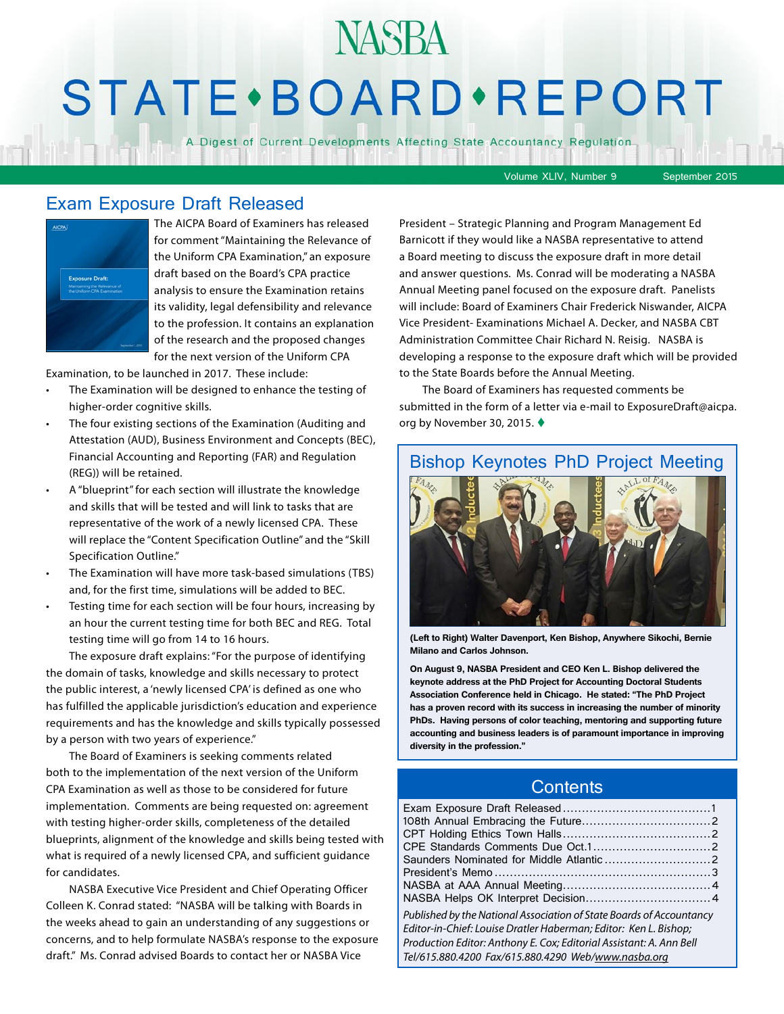# **STATE** · BOARD · REPORT

**NASBA** 

A Digest of Current Developments Affecting State Accountancy Regulation

Volume XLIV, Number 9 September 2015

#### Exam Exposure Draft Released



The AICPA Board of Examiners has released for comment "Maintaining the Relevance of the Uniform CPA Examination," an exposure draft based on the Board's CPA practice analysis to ensure the Examination retains its validity, legal defensibility and relevance to the profession. It contains an explanation of the research and the proposed changes for the next version of the Uniform CPA

Examination, to be launched in 2017. These include:

- The Examination will be designed to enhance the testing of higher-order cognitive skills.
- The four existing sections of the Examination (Auditing and Attestation (AUD), Business Environment and Concepts (BEC), Financial Accounting and Reporting (FAR) and Regulation (REG)) will be retained.
- A "blueprint" for each section will illustrate the knowledge and skills that will be tested and will link to tasks that are representative of the work of a newly licensed CPA. These will replace the "Content Specification Outline" and the "Skill Specification Outline."
- The Examination will have more task-based simulations (TBS) and, for the first time, simulations will be added to BEC.
- Testing time for each section will be four hours, increasing by an hour the current testing time for both BEC and REG. Total testing time will go from 14 to 16 hours.

The exposure draft explains: "For the purpose of identifying the domain of tasks, knowledge and skills necessary to protect the public interest, a 'newly licensed CPA' is defined as one who has fulfilled the applicable jurisdiction's education and experience requirements and has the knowledge and skills typically possessed by a person with two years of experience."

The Board of Examiners is seeking comments related both to the implementation of the next version of the Uniform CPA Examination as well as those to be considered for future implementation. Comments are being requested on: agreement with testing higher-order skills, completeness of the detailed blueprints, alignment of the knowledge and skills being tested with what is required of a newly licensed CPA, and sufficient guidance for candidates.

NASBA Executive Vice President and Chief Operating Officer Colleen K. Conrad stated: "NASBA will be talking with Boards in the weeks ahead to gain an understanding of any suggestions or concerns, and to help formulate NASBA's response to the exposure draft." Ms. Conrad advised Boards to contact her or NASBA Vice

President – Strategic Planning and Program Management Ed Barnicott if they would like a NASBA representative to attend a Board meeting to discuss the exposure draft in more detail and answer questions. Ms. Conrad will be moderating a NASBA Annual Meeting panel focused on the exposure draft. Panelists will include: Board of Examiners Chair Frederick Niswander, AICPA Vice President- Examinations Michael A. Decker, and NASBA CBT Administration Committee Chair Richard N. Reisig. NASBA is developing a response to the exposure draft which will be provided to the State Boards before the Annual Meeting.

The Board of Examiners has requested comments be submitted in the form of a letter via e-mail to ExposureDraft@aicpa. org by November 30, 2015.  $\blacklozenge$ 

#### Bishop Keynotes PhD Project Meeting



**(Left to Right) Walter Davenport, Ken Bishop, Anywhere Sikochi, Bernie Milano and Carlos Johnson.** 

**On August 9, NASBA President and CEO Ken L. Bishop delivered the keynote address at the PhD Project for Accounting Doctoral Students Association Conference held in Chicago. He stated: "The PhD Project has a proven record with its success in increasing the number of minority PhDs. Having persons of color teaching, mentoring and supporting future accounting and business leaders is of paramount importance in improving diversity in the profession."** 

#### **Contents**

| Published by the National Association of State Boards of Accountancy<br>Editor-in-Chief: Louise Dratler Haberman; Editor: Ken L. Bishop;<br>Production Editor: Anthony E. Cox; Editorial Assistant: A. Ann Bell<br>Tel/615.880.4200 Fax/615.880.4290 Web/www.nasba.org |  |
|------------------------------------------------------------------------------------------------------------------------------------------------------------------------------------------------------------------------------------------------------------------------|--|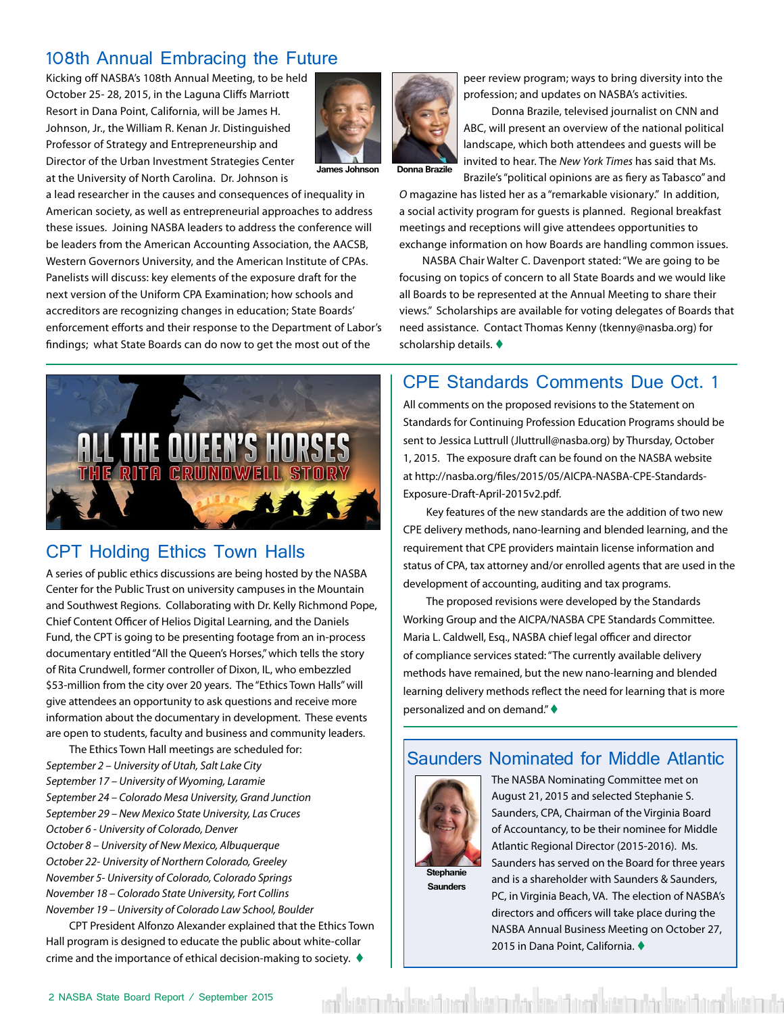### 108th Annual Embracing the Future

Kicking off NASBA's 108th Annual Meeting, to be held October 25- 28, 2015, in the Laguna Cliffs Marriott Resort in Dana Point, California, will be James H. Johnson, Jr., the William R. Kenan Jr. Distinguished Professor of Strategy and Entrepreneurship and Director of the Urban Investment Strategies Center at the University of North Carolina. Dr. Johnson is



**James Johnson Donna Brazile**

a lead researcher in the causes and consequences of inequality in American society, as well as entrepreneurial approaches to address these issues. Joining NASBA leaders to address the conference will be leaders from the American Accounting Association, the AACSB, Western Governors University, and the American Institute of CPAs. Panelists will discuss: key elements of the exposure draft for the next version of the Uniform CPA Examination; how schools and accreditors are recognizing changes in education; State Boards' enforcement efforts and their response to the Department of Labor's findings; what State Boards can do now to get the most out of the



#### CPT Holding Ethics Town Halls

A series of public ethics discussions are being hosted by the NASBA Center for the Public Trust on university campuses in the Mountain and Southwest Regions. Collaborating with Dr. Kelly Richmond Pope, Chief Content Officer of Helios Digital Learning, and the Daniels Fund, the CPT is going to be presenting footage from an in-process documentary entitled "All the Queen's Horses," which tells the story of Rita Crundwell, former controller of Dixon, IL, who embezzled \$53-million from the city over 20 years. The "Ethics Town Halls" will give attendees an opportunity to ask questions and receive more information about the documentary in development. These events are open to students, faculty and business and community leaders.

The Ethics Town Hall meetings are scheduled for: *September 2 – University of Utah, Salt Lake City September 17 – University of Wyoming, Laramie September 24 – Colorado Mesa University, Grand Junction September 29 – New Mexico State University, Las Cruces October 6 - University of Colorado, Denver October 8 – University of New Mexico, Albuquerque October 22- University of Northern Colorado, Greeley November 5- University of Colorado, Colorado Springs November 18 – Colorado State University, Fort Collins November 19 – University of Colorado Law School, Boulder*

CPT President Alfonzo Alexander explained that the Ethics Town Hall program is designed to educate the public about white-collar crime and the importance of ethical decision-making to society.  $\blacklozenge$ 

peer review program; ways to bring diversity into the profession; and updates on NASBA's activities.

Donna Brazile, televised journalist on CNN and ABC, will present an overview of the national political landscape, which both attendees and guests will be invited to hear. The *New York Times* has said that Ms. Brazile's "political opinions are as fiery as Tabasco" and

*O* magazine has listed her as a "remarkable visionary." In addition, a social activity program for guests is planned. Regional breakfast meetings and receptions will give attendees opportunities to exchange information on how Boards are handling common issues.

NASBA Chair Walter C. Davenport stated: "We are going to be focusing on topics of concern to all State Boards and we would like all Boards to be represented at the Annual Meeting to share their views." Scholarships are available for voting delegates of Boards that need assistance. Contact Thomas Kenny (tkenny@nasba.org) for scholarship details.  $\blacklozenge$ 

#### CPE Standards Comments Due Oct. 1

All comments on the proposed revisions to the Statement on Standards for Continuing Profession Education Programs should be sent to Jessica Luttrull (Jluttrull@nasba.org) by Thursday, October 1, 2015. The exposure draft can be found on the NASBA website at http://nasba.org/files/2015/05/AICPA-NASBA-CPE-Standards-Exposure-Draft-April-2015v2.pdf.

Key features of the new standards are the addition of two new CPE delivery methods, nano-learning and blended learning, and the requirement that CPE providers maintain license information and status of CPA, tax attorney and/or enrolled agents that are used in the development of accounting, auditing and tax programs.

The proposed revisions were developed by the Standards Working Group and the AICPA/NASBA CPE Standards Committee. Maria L. Caldwell, Esq., NASBA chief legal officer and director of compliance services stated: "The currently available delivery methods have remained, but the new nano-learning and blended learning delivery methods reflect the need for learning that is more personalized and on demand."  $\blacklozenge$ 

#### Saunders Nominated for Middle Atlantic

ata terdakat biran batan udar bawai barata dan dan bawai basa barat batan da



**Saunders**

The NASBA Nominating Committee met on August 21, 2015 and selected Stephanie S. Saunders, CPA, Chairman of the Virginia Board of Accountancy, to be their nominee for Middle Atlantic Regional Director (2015-2016). Ms. Saunders has served on the Board for three years and is a shareholder with Saunders & Saunders, PC, in Virginia Beach, VA. The election of NASBA's directors and officers will take place during the NASBA Annual Business Meeting on October 27, 2015 in Dana Point, California. ♦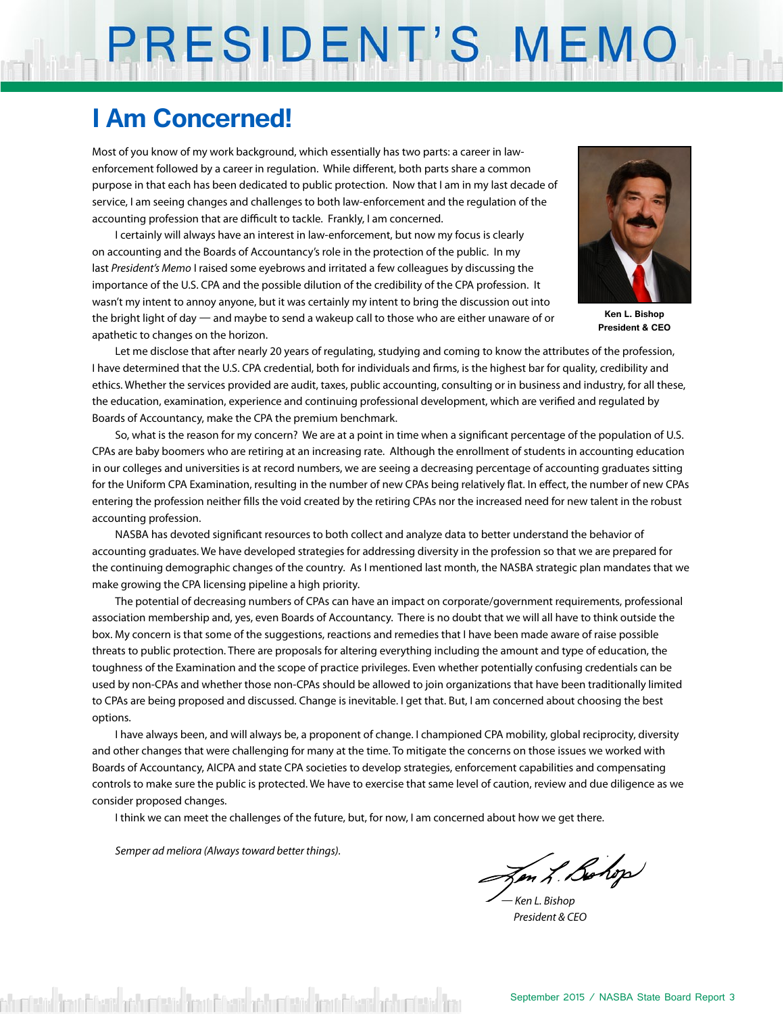# PRESIDENT'S MEMO

## **I Am Concerned!**

Most of you know of my work background, which essentially has two parts: a career in lawenforcement followed by a career in regulation. While different, both parts share a common purpose in that each has been dedicated to public protection. Now that I am in my last decade of service, I am seeing changes and challenges to both law-enforcement and the regulation of the accounting profession that are difficult to tackle. Frankly, I am concerned.

I certainly will always have an interest in law-enforcement, but now my focus is clearly on accounting and the Boards of Accountancy's role in the protection of the public. In my last *President's Memo* I raised some eyebrows and irritated a few colleagues by discussing the importance of the U.S. CPA and the possible dilution of the credibility of the CPA profession. It wasn't my intent to annoy anyone, but it was certainly my intent to bring the discussion out into the bright light of day — and maybe to send a wakeup call to those who are either unaware of or apathetic to changes on the horizon.



**Ken L. Bishop President & CEO**

Let me disclose that after nearly 20 years of regulating, studying and coming to know the attributes of the profession, I have determined that the U.S. CPA credential, both for individuals and firms, is the highest bar for quality, credibility and ethics. Whether the services provided are audit, taxes, public accounting, consulting or in business and industry, for all these, the education, examination, experience and continuing professional development, which are verified and regulated by Boards of Accountancy, make the CPA the premium benchmark.

So, what is the reason for my concern? We are at a point in time when a significant percentage of the population of U.S. CPAs are baby boomers who are retiring at an increasing rate. Although the enrollment of students in accounting education in our colleges and universities is at record numbers, we are seeing a decreasing percentage of accounting graduates sitting for the Uniform CPA Examination, resulting in the number of new CPAs being relatively flat. In effect, the number of new CPAs entering the profession neither fills the void created by the retiring CPAs nor the increased need for new talent in the robust accounting profession.

NASBA has devoted significant resources to both collect and analyze data to better understand the behavior of accounting graduates. We have developed strategies for addressing diversity in the profession so that we are prepared for the continuing demographic changes of the country. As I mentioned last month, the NASBA strategic plan mandates that we make growing the CPA licensing pipeline a high priority.

The potential of decreasing numbers of CPAs can have an impact on corporate/government requirements, professional association membership and, yes, even Boards of Accountancy. There is no doubt that we will all have to think outside the box. My concern is that some of the suggestions, reactions and remedies that I have been made aware of raise possible threats to public protection. There are proposals for altering everything including the amount and type of education, the toughness of the Examination and the scope of practice privileges. Even whether potentially confusing credentials can be used by non-CPAs and whether those non-CPAs should be allowed to join organizations that have been traditionally limited to CPAs are being proposed and discussed. Change is inevitable. I get that. But, I am concerned about choosing the best options.

I have always been, and will always be, a proponent of change. I championed CPA mobility, global reciprocity, diversity and other changes that were challenging for many at the time. To mitigate the concerns on those issues we worked with Boards of Accountancy, AICPA and state CPA societies to develop strategies, enforcement capabilities and compensating controls to make sure the public is protected. We have to exercise that same level of caution, review and due diligence as we consider proposed changes.

I think we can meet the challenges of the future, but, for now, I am concerned about how we get there.

*Semper ad meliora (Always toward better things).*

In L. Bohop

*— Ken L. Bishop President & CEO*

misted from Meant of further detail from Meant of the Catal from Meant of the Catal for